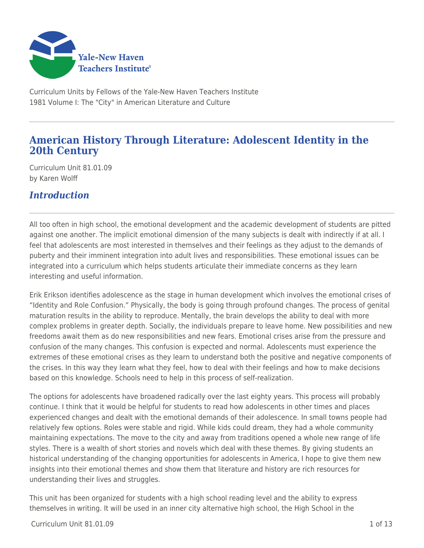

Curriculum Units by Fellows of the Yale-New Haven Teachers Institute 1981 Volume I: The "City" in American Literature and Culture

# **American History Through Literature: Adolescent Identity in the 20th Century**

Curriculum Unit 81.01.09 by Karen Wolff

## *Introduction*

All too often in high school, the emotional development and the academic development of students are pitted against one another. The implicit emotional dimension of the many subjects is dealt with indirectly if at all. I feel that adolescents are most interested in themselves and their feelings as they adjust to the demands of puberty and their imminent integration into adult lives and responsibilities. These emotional issues can be integrated into a curriculum which helps students articulate their immediate concerns as they learn interesting and useful information.

Erik Erikson identifies adolescence as the stage in human development which involves the emotional crises of "Identity and Role Confusion." Physically, the body is going through profound changes. The process of genital maturation results in the ability to reproduce. Mentally, the brain develops the ability to deal with more complex problems in greater depth. Socially, the individuals prepare to leave home. New possibilities and new freedoms await them as do new responsibilities and new fears. Emotional crises arise from the pressure and confusion of the many changes. This confusion is expected and normal. Adolescents must experience the extremes of these emotional crises as they learn to understand both the positive and negative components of the crises. In this way they learn what they feel, how to deal with their feelings and how to make decisions based on this knowledge. Schools need to help in this process of self-realization.

The options for adolescents have broadened radically over the last eighty years. This process will probably continue. I think that it would be helpful for students to read how adolescents in other times and places experienced changes and dealt with the emotional demands of their adolescence. In small towns people had relatively few options. Roles were stable and rigid. While kids could dream, they had a whole community maintaining expectations. The move to the city and away from traditions opened a whole new range of life styles. There is a wealth of short stories and novels which deal with these themes. By giving students an historical understanding of the changing opportunities for adolescents in America, I hope to give them new insights into their emotional themes and show them that literature and history are rich resources for understanding their lives and struggles.

This unit has been organized for students with a high school reading level and the ability to express themselves in writing. It will be used in an inner city alternative high school, the High School in the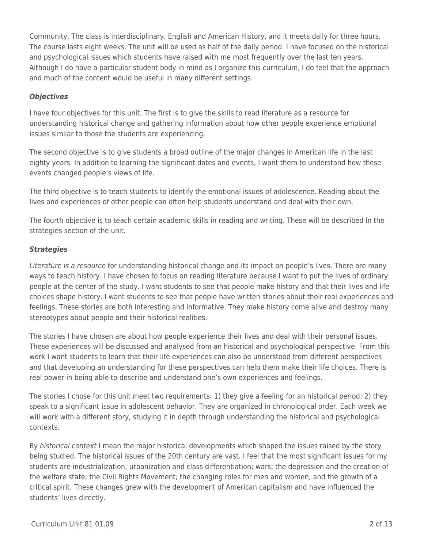Community. The class is interdisciplinary, English and American History, and it meets daily for three hours. The course lasts eight weeks. The unit will be used as half of the daily period. I have focused on the historical and psychological issues which students have raised with me most frequently over the last ten years. Although I do have a particular student body in mind as I organize this curriculum, I do feel that the approach and much of the content would be useful in many different settings.

#### *Objectives*

I have four objectives for this unit. The first is to give the skills to read literature as a resource for understanding historical change and gathering information about how other people experience emotional issues similar to those the students are experiencing.

The second objective is to give students a broad outline of the major changes in American life in the last eighty years. In addition to learning the significant dates and events, I want them to understand how these events changed people's views of life.

The third objective is to teach students to identify the emotional issues of adolescence. Reading about the lives and experiences of other people can often help students understand and deal with their own.

The fourth objective is to teach certain academic skills in reading and writing. These will be described in the strategies section of the unit.

#### *Strategies*

Literature is a resource for understanding historical change and its impact on people's lives. There are many ways to teach history. I have chosen to focus on reading literature because I want to put the lives of ordinary people at the center of the study. I want students to see that people make history and that their lives and life choices shape history. I want students to see that people have written stories about their real experiences and feelings. These stories are both interesting and informative. They make history come alive and destroy many stereotypes about people and their historical realities.

The stories I have chosen are about how people experience their lives and deal with their personal issues. These experiences will be discussed and analysed from an historical and psychological perspective. From this work I want students to learn that their life experiences can also be understood from different perspectives and that developing an understanding for these perspectives can help them make their life choices. There is real power in being able to describe and understand one's own experiences and feelings.

The stories I chose for this unit meet two requirements: 1) they give a feeling for an historical period; 2) they speak to a significant issue in adolescent behavior. They are organized in chronological order. Each week we will work with a different story, studying it in depth through understanding the historical and psychological contexts.

By historical context I mean the major historical developments which shaped the issues raised by the story being studied. The historical issues of the 20th century are vast. I feel that the most significant issues for my students are industrialization; urbanization and class differentiation; wars; the depression and the creation of the welfare state; the Civil Rights Movement; the changing roles for men and women; and the growth of a critical spirit. These changes grew with the development of American capitalism and have influenced the students' lives directly.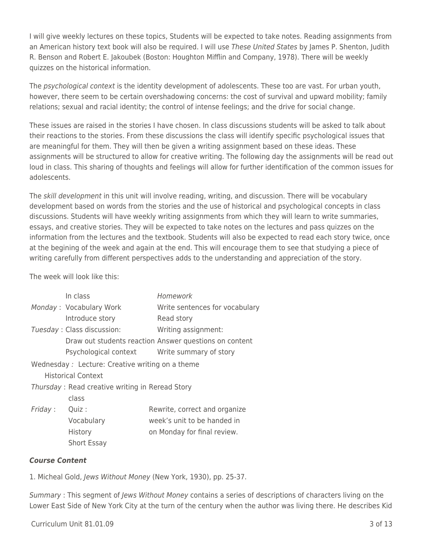I will give weekly lectures on these topics, Students will be expected to take notes. Reading assignments from an American history text book will also be required. I will use These United States by James P. Shenton, Judith R. Benson and Robert E. Jakoubek (Boston: Houghton Mifflin and Company, 1978). There will be weekly quizzes on the historical information.

The *psychological context* is the identity development of adolescents. These too are vast. For urban youth, however, there seem to be certain overshadowing concerns: the cost of survival and upward mobility; family relations; sexual and racial identity; the control of intense feelings; and the drive for social change.

These issues are raised in the stories I have chosen. In class discussions students will be asked to talk about their reactions to the stories. From these discussions the class will identify specific psychological issues that are meaningful for them. They will then be given a writing assignment based on these ideas. These assignments will be structured to allow for creative writing. The following day the assignments will be read out loud in class. This sharing of thoughts and feelings will allow for further identification of the common issues for adolescents.

The *skill development* in this unit will involve reading, writing, and discussion. There will be vocabulary development based on words from the stories and the use of historical and psychological concepts in class discussions. Students will have weekly writing assignments from which they will learn to write summaries, essays, and creative stories. They will be expected to take notes on the lectures and pass quizzes on the information from the lectures and the textbook. Students will also be expected to read each story twice, once at the begining of the week and again at the end. This will encourage them to see that studying a piece of writing carefully from different perspectives adds to the understanding and appreciation of the story.

The week will look like this:

|                                                  | In class                   | Homework                                               |
|--------------------------------------------------|----------------------------|--------------------------------------------------------|
|                                                  | Monday: Vocabulary Work    | Write sentences for vocabulary                         |
|                                                  | Introduce story            | Read story                                             |
|                                                  | Tuesday: Class discussion: | Writing assignment:                                    |
|                                                  |                            | Draw out students reaction Answer questions on content |
|                                                  |                            | Psychological context Write summary of story           |
| Wednesday : Lecture: Creative writing on a theme |                            |                                                        |
| <b>Historical Context</b>                        |                            |                                                        |
| Thursday: Read creative writing in Reread Story  |                            |                                                        |
|                                                  | class                      |                                                        |
| Friday:                                          | Quiz :                     | Rewrite, correct and organize                          |
|                                                  | Vocabulary                 | week's unit to be handed in                            |
|                                                  | History                    | on Monday for final review.                            |
|                                                  | <b>Short Essay</b>         |                                                        |

#### *Course Content*

1. Micheal Gold, Jews Without Money (New York, 1930), pp. 25-37.

Summary : This segment of Jews Without Money contains a series of descriptions of characters living on the Lower East Side of New York City at the turn of the century when the author was living there. He describes Kid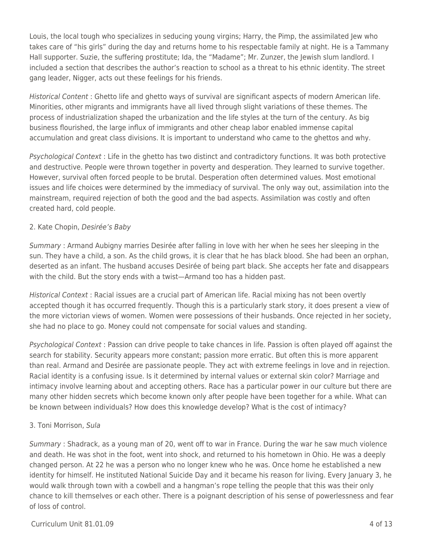Louis, the local tough who specializes in seducing young virgins; Harry, the Pimp, the assimilated Jew who takes care of "his girls" during the day and returns home to his respectable family at night. He is a Tammany Hall supporter. Suzie, the suffering prostitute; Ida, the "Madame"; Mr. Zunzer, the Jewish slum landlord. I included a section that describes the author's reaction to school as a threat to his ethnic identity. The street gang leader, Nigger, acts out these feelings for his friends.

Historical Content : Ghetto life and ghetto ways of survival are significant aspects of modern American life. Minorities, other migrants and immigrants have all lived through slight variations of these themes. The process of industrialization shaped the urbanization and the life styles at the turn of the century. As big business flourished, the large influx of immigrants and other cheap labor enabled immense capital accumulation and great class divisions. It is important to understand who came to the ghettos and why.

Psychological Context : Life in the ghetto has two distinct and contradictory functions. It was both protective and destructive. People were thrown together in poverty and desperation. They learned to survive together. However, survival often forced people to be brutal. Desperation often determined values. Most emotional issues and life choices were determined by the immediacy of survival. The only way out, assimilation into the mainstream, required rejection of both the good and the bad aspects. Assimilation was costly and often created hard, cold people.

### 2. Kate Chopin, Desirée's Baby

Summary : Armand Aubigny marries Desirée after falling in love with her when he sees her sleeping in the sun. They have a child, a son. As the child grows, it is clear that he has black blood. She had been an orphan, deserted as an infant. The husband accuses Desirée of being part black. She accepts her fate and disappears with the child. But the story ends with a twist—Armand too has a hidden past.

Historical Context : Racial issues are a crucial part of American life. Racial mixing has not been overtly accepted though it has occurred frequently. Though this is a particularly stark story, it does present a view of the more victorian views of women. Women were possessions of their husbands. Once rejected in her society, she had no place to go. Money could not compensate for social values and standing.

Psychological Context : Passion can drive people to take chances in life. Passion is often played off against the search for stability. Security appears more constant; passion more erratic. But often this is more apparent than real. Armand and Desirée are passionate people. They act with extreme feelings in love and in rejection. Racial identity is a confusing issue. Is it determined by internal values or external skin color? Marriage and intimacy involve learning about and accepting others. Race has a particular power in our culture but there are many other hidden secrets which become known only after people have been together for a while. What can be known between individuals? How does this knowledge develop? What is the cost of intimacy?

### 3. Toni Morrison, Sula

Summary : Shadrack, as a young man of 20, went off to war in France. During the war he saw much violence and death. He was shot in the foot, went into shock, and returned to his hometown in Ohio. He was a deeply changed person. At 22 he was a person who no longer knew who he was. Once home he established a new identity for himself. He instituted National Suicide Day and it became his reason for living. Every January 3, he would walk through town with a cowbell and a hangman's rope telling the people that this was their only chance to kill themselves or each other. There is a poignant description of his sense of powerlessness and fear of loss of control.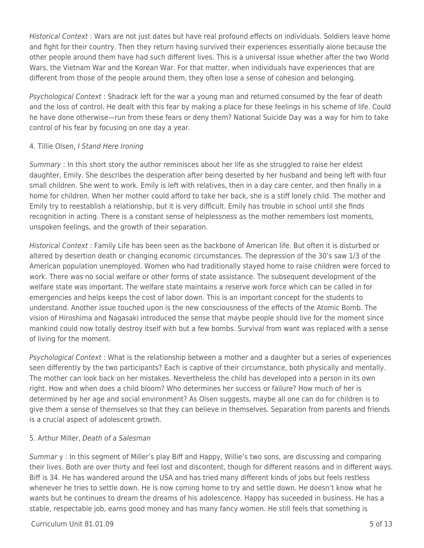Historical Context : Wars are not just dates but have real profound effects on individuals. Soldiers leave home and fight for their country. Then they return having survived their experiences essentially alone because the other people around them have had such different lives. This is a universal issue whether after the two World Wars, the Vietnam War and the Korean War. For that matter, when individuals have experiences that are different from those of the people around them, they often lose a sense of cohesion and belonging.

Psychological Context : Shadrack left for the war a young man and returned consumed by the fear of death and the loss of control. He dealt with this fear by making a place for these feelings in his scheme of life. Could he have done otherwise—run from these fears or deny them? National Suicide Day was a way for him to take control of his fear by focusing on one day a year.

### 4. Tillie Olsen, I Stand Here Ironing

Summary : In this short story the author reminisces about her life as she struggled to raise her eldest daughter, Emily. She describes the desperation after being deserted by her husband and being left with four small children. She went to work. Emily is left with relatives, then in a day care center, and then finally in a home for children. When her mother could afford to take her back, she is a stiff lonely child. The mother and Emily try to reestablish a relationship, but it is very difficult. Emily has trouble in school until she finds recognition in acting. There is a constant sense of helplessness as the mother remembers lost moments, unspoken feelings, and the growth of their separation.

Historical Context : Family Life has been seen as the backbone of American life. But often it is disturbed or altered by desertion death or changing economic circumstances. The depression of the 30's saw 1/3 of the American population unemployed. Women who had traditionally stayed home to raise children were forced to work. There was no social welfare or other forms of state assistance. The subsequent development of the welfare state was important. The welfare state maintains a reserve work force which can be called in for emergencies and helps keeps the cost of labor down. This is an important concept for the students to understand. Another issue touched upon is the new consciousness of the effects of the Atomic Bomb. The vision of Hiroshima and Nagasaki introduced the sense that maybe people should live for the moment since mankind could now totally destroy itself with but a few bombs. Survival from want was replaced with a sense of living for the moment.

Psychological Context : What is the relationship between a mother and a daughter but a series of experiences seen differently by the two participants? Each is captive of their circumstance, both physically and mentally. The mother can look back on her mistakes. Nevertheless the child has developed into a person in its own right. How and when does a child bloom? Who determines her success or failure? How much of her is determined by her age and social environment? As Olsen suggests, maybe all one can do for children is to give them a sense of themselves so that they can believe in themselves. Separation from parents and friends is a crucial aspect of adolescent growth.

### 5. Arthur Miller, Death of a Salesman

Summar y : In this segment of Miller's play Biff and Happy, Willie's two sons, are discussing and comparing their lives. Both are over thirty and feel lost and discontent, though for different reasons and in different ways. Biff is 34. He has wandered around the USA and has tried many different kinds of jobs but feels restless whenever he tries to settle down. He is now coming home to try and settle down. He doesn't know what he wants but he continues to dream the dreams of his adolescence. Happy has suceeded in business. He has a stable, respectable job, earns good money and has many fancy women. He still feels that something is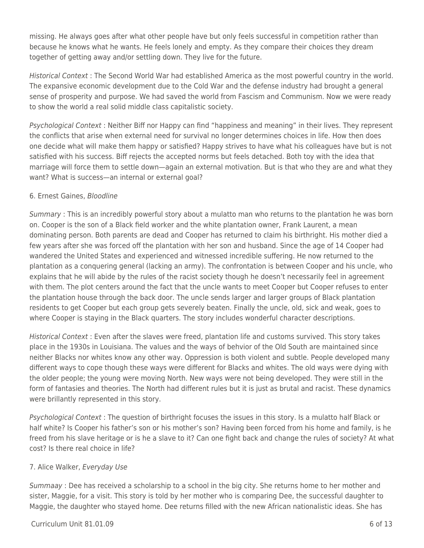missing. He always goes after what other people have but only feels successful in competition rather than because he knows what he wants. He feels lonely and empty. As they compare their choices they dream together of getting away and/or settling down. They live for the future.

Historical Context : The Second World War had established America as the most powerful country in the world. The expansive economic development due to the Cold War and the defense industry had brought a general sense of prosperity and purpose. We had saved the world from Fascism and Communism. Now we were ready to show the world a real solid middle class capitalistic society.

Psychological Context : Neither Biff nor Happy can find "happiness and meaning" in their lives. They represent the conflicts that arise when external need for survival no longer determines choices in life. How then does one decide what will make them happy or satisfied? Happy strives to have what his colleagues have but is not satisfied with his success. Biff rejects the accepted norms but feels detached. Both toy with the idea that marriage will force them to settle down—again an external motivation. But is that who they are and what they want? What is success—an internal or external goal?

### 6. Ernest Gaines, Bloodline

Summary : This is an incredibly powerful story about a mulatto man who returns to the plantation he was born on. Cooper is the son of a Black field worker and the white plantation owner, Frank Laurent, a mean dominating person. Both parents are dead and Cooper has returned to claim his birthright. His mother died a few years after she was forced off the plantation with her son and husband. Since the age of 14 Cooper had wandered the United States and experienced and witnessed incredible suffering. He now returned to the plantation as a conquering general (lacking an army). The confrontation is between Cooper and his uncle, who explains that he will abide by the rules of the racist society though he doesn't necessarily feel in agreement with them. The plot centers around the fact that the uncle wants to meet Cooper but Cooper refuses to enter the plantation house through the back door. The uncle sends larger and larger groups of Black plantation residents to get Cooper but each group gets severely beaten. Finally the uncle, old, sick and weak, goes to where Cooper is staying in the Black quarters. The story includes wonderful character descriptions.

Historical Context : Even after the slaves were freed, plantation life and customs survived. This story takes place in the 1930s in Louisiana. The values and the ways of behvior of the Old South are maintained since neither Blacks nor whites know any other way. Oppression is both violent and subtle. People developed many different ways to cope though these ways were different for Blacks and whites. The old ways were dying with the older people; the young were moving North. New ways were not being developed. They were still in the form of fantasies and theories. The North had different rules but it is just as brutal and racist. These dynamics were brillantly represented in this story.

Psychological Context : The question of birthright focuses the issues in this story. Is a mulatto half Black or half white? Is Cooper his father's son or his mother's son? Having been forced from his home and family, is he freed from his slave heritage or is he a slave to it? Can one fight back and change the rules of society? At what cost? Is there real choice in life?

### 7. Alice Walker, Everyday Use

Summaay : Dee has received a scholarship to a school in the big city. She returns home to her mother and sister, Maggie, for a visit. This story is told by her mother who is comparing Dee, the successful daughter to Maggie, the daughter who stayed home. Dee returns filled with the new African nationalistic ideas. She has

### $Curir$  Unit 81.01.09 6 of 13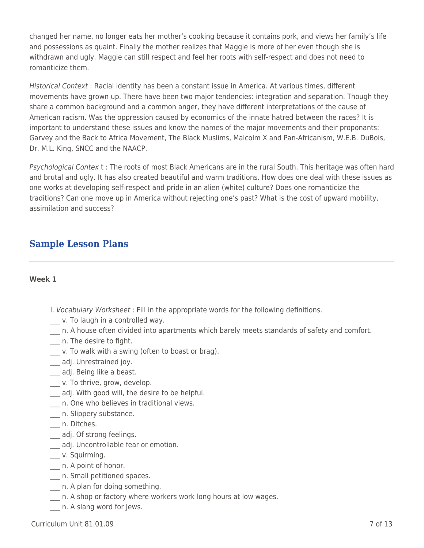changed her name, no longer eats her mother's cooking because it contains pork, and views her family's life and possessions as quaint. Finally the mother realizes that Maggie is more of her even though she is withdrawn and ugly. Maggie can still respect and feel her roots with self-respect and does not need to romanticize them.

Historical Context : Racial identity has been a constant issue in America. At various times, different movements have grown up. There have been two major tendencies: integration and separation. Though they share a common background and a common anger, they have different interpretations of the cause of American racism. Was the oppression caused by economics of the innate hatred between the races? It is important to understand these issues and know the names of the major movements and their proponants: Garvey and the Back to Africa Movement, The Black Muslims, Malcolm X and Pan-Africanism, W.E.B. DuBois, Dr. M.L. King, SNCC and the NAACP.

Psychological Contex t : The roots of most Black Americans are in the rural South. This heritage was often hard and brutal and ugly. It has also created beautiful and warm traditions. How does one deal with these issues as one works at developing self-respect and pride in an alien (white) culture? Does one romanticize the traditions? Can one move up in America without rejecting one's past? What is the cost of upward mobility, assimilation and success?

# **Sample Lesson Plans**

#### **Week 1**

- I. Vocabulary Worksheet : Fill in the appropriate words for the following definitions.
- v. To laugh in a controlled way.
- \_\_\_ n. A house often divided into apartments which barely meets standards of safety and comfort.
- \_\_\_ n. The desire to fight.
- \_\_\_ v. To walk with a swing (often to boast or brag).
- adj. Unrestrained joy.
- \_\_\_ adj. Being like a beast.
- \_\_\_ v. To thrive, grow, develop.
- \_\_\_ adj. With good will, the desire to be helpful.
- \_\_\_ n. One who believes in traditional views.
- \_\_\_ n. Slippery substance.
- \_\_\_ n. Ditches.
- \_\_\_ adj. Of strong feelings.
- \_\_\_ adj. Uncontrollable fear or emotion.
- \_\_ v. Squirming.
- \_\_\_ n. A point of honor.
- \_\_\_ n. Small petitioned spaces.
- \_\_\_ n. A plan for doing something.
- \_\_\_ n. A shop or factory where workers work long hours at low wages.
- \_\_\_ n. A slang word for Jews.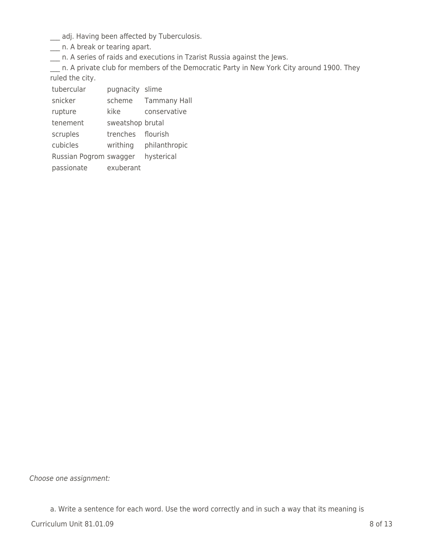\_\_\_ adj. Having been affected by Tuberculosis.

\_\_\_ n. A break or tearing apart.

\_\_\_ n. A series of raids and executions in Tzarist Russia against the Jews.

\_\_\_ n. A private club for members of the Democratic Party in New York City around 1900. They ruled the city.

tubercular pugnacity slime

snicker scheme Tammany Hall

rupture kike conservative

tenement sweatshop brutal

scruples trenches flourish

cubicles writhing philanthropic

Russian Pogrom swagger hysterical

passionate exuberant

Choose one assignment:

a. Write a sentence for each word. Use the word correctly and in such a way that its meaning is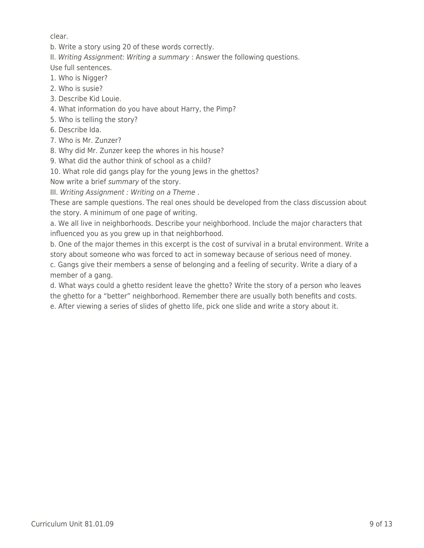clear.

b. Write a story using 20 of these words correctly.

II. Writing Assignment: Writing a summary : Answer the following questions.

Use full sentences.

- 1. Who is Nigger?
- 2. Who is susie?
- 3. Describe Kid Louie.
- 4. What information do you have about Harry, the Pimp?
- 5. Who is telling the story?
- 6. Describe Ida.
- 7. Who is Mr. Zunzer?
- 8. Why did Mr. Zunzer keep the whores in his house?
- 9. What did the author think of school as a child?

10. What role did gangs play for the young Jews in the ghettos?

Now write a brief summary of the story.

III. Writing Assignment : Writing on a Theme .

These are sample questions. The real ones should be developed from the class discussion about the story. A minimum of one page of writing.

a. We all live in neighborhoods. Describe your neighborhood. Include the major characters that influenced you as you grew up in that neighborhood.

b. One of the major themes in this excerpt is the cost of survival in a brutal environment. Write a story about someone who was forced to act in someway because of serious need of money.

c. Gangs give their members a sense of belonging and a feeling of security. Write a diary of a member of a gang.

d. What ways could a ghetto resident leave the ghetto? Write the story of a person who leaves the ghetto for a "better" neighborhood. Remember there are usually both benefits and costs. e. After viewing a series of slides of ghetto life, pick one slide and write a story about it.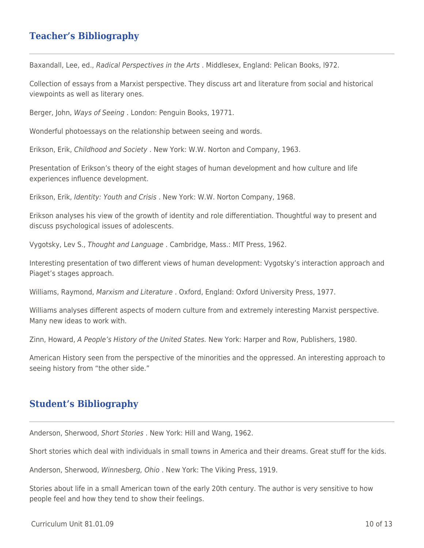# **Teacher's Bibliography**

Baxandall, Lee, ed., Radical Perspectives in the Arts . Middlesex, England: Pelican Books, l972.

Collection of essays from a Marxist perspective. They discuss art and literature from social and historical viewpoints as well as literary ones.

Berger, John, Ways of Seeing . London: Penguin Books, 19771.

Wonderful photoessays on the relationship between seeing and words.

Erikson, Erik, Childhood and Society . New York: W.W. Norton and Company, 1963.

Presentation of Erikson's theory of the eight stages of human development and how culture and life experiences influence development.

Erikson, Erik, Identity: Youth and Crisis . New York: W.W. Norton Company, 1968.

Erikson analyses his view of the growth of identity and role differentiation. Thoughtful way to present and discuss psychological issues of adolescents.

Vygotsky, Lev S., Thought and Language . Cambridge, Mass.: MIT Press, 1962.

Interesting presentation of two different views of human development: Vygotsky's interaction approach and Piaget's stages approach.

Williams, Raymond, Marxism and Literature . Oxford, England: Oxford University Press, 1977.

Williams analyses different aspects of modern culture from and extremely interesting Marxist perspective. Many new ideas to work with.

Zinn, Howard, A People's History of the United States. New York: Harper and Row, Publishers, 1980.

American History seen from the perspective of the minorities and the oppressed. An interesting approach to seeing history from "the other side."

### **Student's Bibliography**

Anderson, Sherwood, Short Stories . New York: Hill and Wang, 1962.

Short stories which deal with individuals in small towns in America and their dreams. Great stuff for the kids.

Anderson, Sherwood, Winnesberg, Ohio . New York: The Viking Press, 1919.

Stories about life in a small American town of the early 20th century. The author is very sensitive to how people feel and how they tend to show their feelings.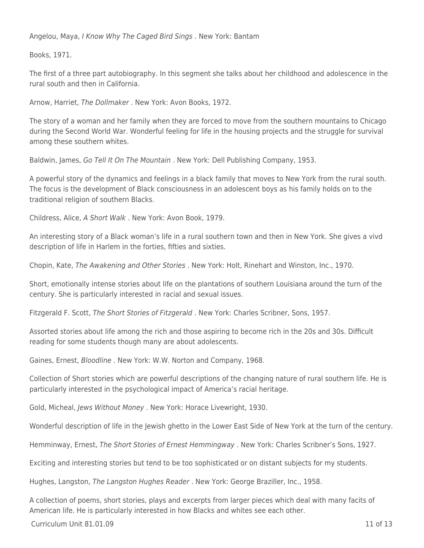Angelou, Maya, I Know Why The Caged Bird Sings . New York: Bantam

Books, 1971.

The first of a three part autobiography. In this segment she talks about her childhood and adolescence in the rural south and then in California.

Arnow, Harriet, The Dollmaker . New York: Avon Books, 1972.

The story of a woman and her family when they are forced to move from the southern mountains to Chicago during the Second World War. Wonderful feeling for life in the housing projects and the struggle for survival among these southern whites.

Baldwin, James, Go Tell It On The Mountain . New York: Dell Publishing Company, 1953.

A powerful story of the dynamics and feelings in a black family that moves to New York from the rural south. The focus is the development of Black consciousness in an adolescent boys as his family holds on to the traditional religion of southern Blacks.

Childress, Alice, A Short Walk . New York: Avon Book, 1979.

An interesting story of a Black woman's life in a rural southern town and then in New York. She gives a vivd description of life in Harlem in the forties, fifties and sixties.

Chopin, Kate, The Awakening and Other Stories . New York: Holt, Rinehart and Winston, Inc., 1970.

Short, emotionally intense stories about life on the plantations of southern Louisiana around the turn of the century. She is particularly interested in racial and sexual issues.

Fitzgerald F. Scott, The Short Stories of Fitzgerald . New York: Charles Scribner, Sons, 1957.

Assorted stories about life among the rich and those aspiring to become rich in the 20s and 30s. Difficult reading for some students though many are about adolescents.

Gaines, Ernest, Bloodline . New York: W.W. Norton and Company, 1968.

Collection of Short stories which are powerful descriptions of the changing nature of rural southern life. He is particularly interested in the psychological impact of America's racial heritage.

Gold, Micheal, Jews Without Money . New York: Horace Livewright, 1930.

Wonderful description of life in the Jewish ghetto in the Lower East Side of New York at the turn of the century.

Hemminway, Ernest, The Short Stories of Ernest Hemmingway . New York: Charles Scribner's Sons, 1927.

Exciting and interesting stories but tend to be too sophisticated or on distant subjects for my students.

Hughes, Langston, The Langston Hughes Reader . New York: George Braziller, Inc., 1958.

A collection of poems, short stories, plays and excerpts from larger pieces which deal with many facits of American life. He is particularly interested in how Blacks and whites see each other.

 $Curir$  Unit 81.01.09 11 of 13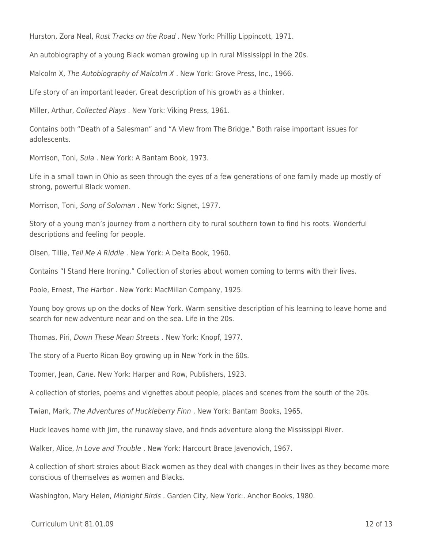Hurston, Zora Neal, Rust Tracks on the Road . New York: Phillip Lippincott, 1971.

An autobiography of a young Black woman growing up in rural Mississippi in the 20s.

Malcolm X, The Autobiography of Malcolm X . New York: Grove Press, Inc., 1966.

Life story of an important leader. Great description of his growth as a thinker.

Miller, Arthur, Collected Plays . New York: Viking Press, 1961.

Contains both "Death of a Salesman" and "A View from The Bridge." Both raise important issues for adolescents.

Morrison, Toni, Sula . New York: A Bantam Book, 1973.

Life in a small town in Ohio as seen through the eyes of a few generations of one family made up mostly of strong, powerful Black women.

Morrison, Toni, Song of Soloman . New York: Signet, 1977.

Story of a young man's journey from a northern city to rural southern town to find his roots. Wonderful descriptions and feeling for people.

Olsen, Tillie, Tell Me A Riddle . New York: A Delta Book, 1960.

Contains "I Stand Here Ironing." Collection of stories about women coming to terms with their lives.

Poole, Ernest, The Harbor . New York: MacMillan Company, 1925.

Young boy grows up on the docks of New York. Warm sensitive description of his learning to leave home and search for new adventure near and on the sea. Life in the 20s.

Thomas, Piri, Down These Mean Streets . New York: Knopf, 1977.

The story of a Puerto Rican Boy growing up in New York in the 60s.

Toomer, Jean, Cane. New York: Harper and Row, Publishers, 1923.

A collection of stories, poems and vignettes about people, places and scenes from the south of the 20s.

Twian, Mark, The Adventures of Huckleberry Finn , New York: Bantam Books, 1965.

Huck leaves home with Jim, the runaway slave, and finds adventure along the Mississippi River.

Walker, Alice, In Love and Trouble . New York: Harcourt Brace Javenovich, 1967.

A collection of short stroies about Black women as they deal with changes in their lives as they become more conscious of themselves as women and Blacks.

Washington, Mary Helen, Midnight Birds . Garden City, New York:. Anchor Books, 1980.